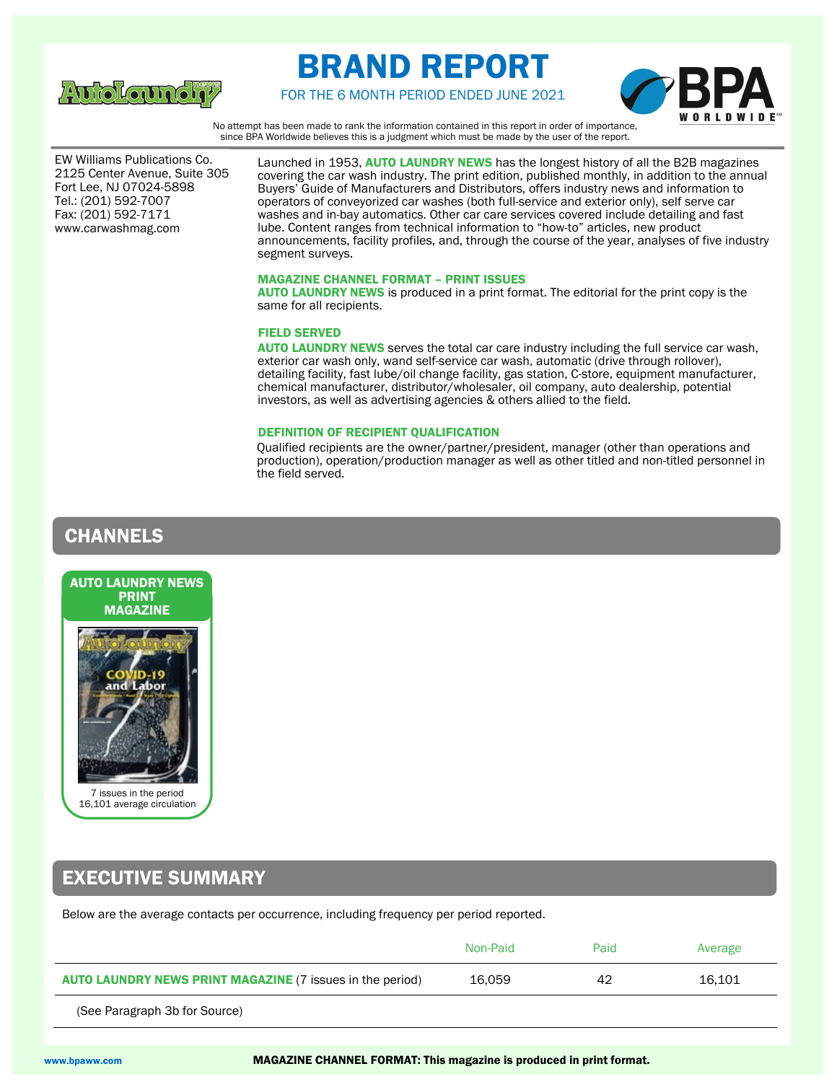

# BRAND REPORT





No attempt has been made to rank the information contained in this report in order of importance, since BPA Worldwide believes this is a judgment which must be made by the user of the report.

 Fort Lee, NJ 07024-5898 EW Williams Publications Co. 2125 Center Avenue, Suite 305 Tel.: (201) 592-7007 Fax: (201) 592-7171 www.carwashmag.com

Launched in 1953, AUTO LAUNDRY NEWS has the longest history of all the B2B magazines covering the car wash industry. The print edition, published monthly, in addition to the annual Buyers' Guide of Manufacturers and Distributors, offers industry news and information to operators of conveyorized car washes (both full-service and exterior only), self serve car washes and in-bay automatics. Other car care services covered include detailing and fast lube. Content ranges from technical information to "how-to" articles, new product announcements, facility profiles, and, through the course of the year, analyses of five industry segment surveys.

### MAGAZINE CHANNEL FORMAT – PRINT ISSUES

AUTO LAUNDRY NEWS is produced in a print format. The editorial for the print copy is the same for all recipients.

### FIELD SERVED

AUTO LAUNDRY NEWS serves the total car care industry including the full service car wash, exterior car wash only, wand self-service car wash, automatic (drive through rollover), detailing facility, fast lube/oil change facility, gas station, C-store, equipment manufacturer, chemical manufacturer, distributor/wholesaler, oil company, auto dealership, potential investors, as well as advertising agencies & others allied to the field.

### DEFINITION OF RECIPIENT QUALIFICATION

Qualified recipients are the owner/partner/president, manager (other than operations and production), operation/production manager as well as other titled and non-titled personnel in the field served.

## CHANNELS



## EXECUTIVE SUMMARY

Below are the average contacts per occurrence, including frequency per period reported.

|                                                                  | Non-Paid | Paid | Average |
|------------------------------------------------------------------|----------|------|---------|
| <b>AUTO LAUNDRY NEWS PRINT MAGAZINE (7 issues in the period)</b> | 16.059   | 42   | 16.101  |

(See Paragraph 3b for Source)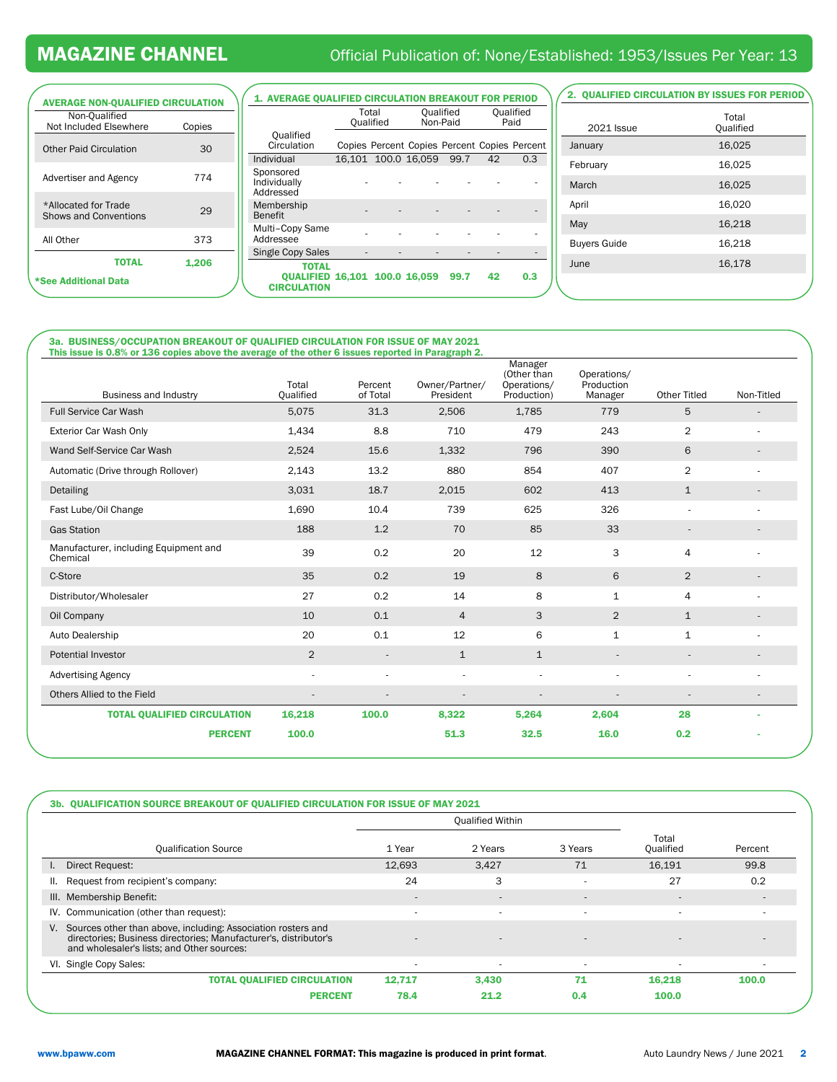## MAGAZINE CHANNEL **Official Publication of: None/Established: 1953/Issues Per Year: 13**

| <b>AVERAGE NON-QUALIFIED CIRCULATION</b>             |        |
|------------------------------------------------------|--------|
| Non-Qualified                                        |        |
| Not Included Elsewhere                               | Copies |
| <b>Other Paid Circulation</b>                        | 30     |
| Advertiser and Agency                                | 774    |
| *Allocated for Trade<br><b>Shows and Conventions</b> | 29     |
| All Other                                            | 373    |
| TOTAL                                                | 1,206  |
| *See Additional Data                                 |        |
|                                                      |        |

| <b>1. AVERAGE OUALIFIED CIRCULATION BREAKOUT FOR PERIOD</b>         |                    |                     |                                              |    |                   |
|---------------------------------------------------------------------|--------------------|---------------------|----------------------------------------------|----|-------------------|
|                                                                     | Total<br>Qualified |                     | Qualified<br>Non-Paid                        |    | Qualified<br>Paid |
| Qualified<br>Circulation                                            |                    |                     | Copies Percent Copies Percent Copies Percent |    |                   |
| Individual                                                          |                    | 16.101 100.0 16.059 | 99.7                                         | 42 | 0.3               |
| Sponsored<br>Individually<br>Addressed                              |                    |                     |                                              |    |                   |
| Membership<br><b>Benefit</b>                                        |                    |                     |                                              |    |                   |
| Multi-Copy Same<br>Addressee                                        |                    |                     |                                              |    |                   |
| Single Copy Sales                                                   |                    |                     |                                              |    |                   |
| <b>TOTAL</b><br>QUALIFIED 16,101 100.0 16,059<br><b>CIRCULATION</b> |                    |                     | 99.7                                         | 42 | 0.3               |

### 2. QUALIFIED CIRCULATION BY ISSUES FOR PERIOD

| <b>2021 Issue</b>   | Total<br>Qualified |
|---------------------|--------------------|
| January             | 16,025             |
| February            | 16,025             |
| March               | 16,025             |
| April               | 16,020             |
| May                 | 16,218             |
| <b>Buyers Guide</b> | 16,218             |
| June                | 16,178             |
|                     |                    |

## 3a. BUSINESS/OCCUPATION BREAKOUT OF QUALIFIED CIRCULATION FOR ISSUE OF MAY 2021 This issue is 0.8% or 136 copies above the average of the other 6 issues reported in Paragraph 2.

| Business and Industry                             | Total<br>Qualified       | Percent<br>of Total | Owner/Partner/<br>President | Manager<br>(Other than<br>Operations/<br>Production) | Operations/<br>Production<br>Manager | <b>Other Titled</b>      | Non-Titled |
|---------------------------------------------------|--------------------------|---------------------|-----------------------------|------------------------------------------------------|--------------------------------------|--------------------------|------------|
| <b>Full Service Car Wash</b>                      | 5,075                    | 31.3                | 2,506                       | 1,785                                                | 779                                  | 5                        |            |
| Exterior Car Wash Only                            | 1,434                    | 8.8                 | 710                         | 479                                                  | 243                                  | 2                        |            |
| Wand Self-Service Car Wash                        | 2,524                    | 15.6                | 1,332                       | 796                                                  | 390                                  | 6                        |            |
| Automatic (Drive through Rollover)                | 2,143                    | 13.2                | 880                         | 854                                                  | 407                                  | $\overline{2}$           |            |
| Detailing                                         | 3,031                    | 18.7                | 2,015                       | 602                                                  | 413                                  | $\mathbf{1}$             |            |
| Fast Lube/Oil Change                              | 1,690                    | 10.4                | 739                         | 625                                                  | 326                                  | ٠                        |            |
| <b>Gas Station</b>                                | 188                      | 1.2                 | 70                          | 85                                                   | 33                                   | $\overline{\phantom{a}}$ |            |
| Manufacturer, including Equipment and<br>Chemical | 39                       | 0.2                 | 20                          | 12                                                   | 3                                    | 4                        |            |
| C-Store                                           | 35                       | 0.2                 | 19                          | 8                                                    | 6                                    | $\overline{2}$           |            |
| Distributor/Wholesaler                            | 27                       | 0.2                 | 14                          | 8                                                    | 1                                    | 4                        |            |
| Oil Company                                       | 10                       | 0.1                 | $\overline{4}$              | 3                                                    | $\overline{2}$                       | $\mathbf{1}$             |            |
| Auto Dealership                                   | 20                       | 0.1                 | 12                          | 6                                                    | 1                                    | 1                        |            |
| <b>Potential Investor</b>                         | $\overline{2}$           |                     | $\mathbf{1}$                | $\mathbf{1}$                                         | $\overline{\phantom{a}}$             | $\overline{\phantom{a}}$ |            |
| <b>Advertising Agency</b>                         | $\sim$                   |                     |                             |                                                      |                                      |                          |            |
| Others Allied to the Field                        | $\overline{\phantom{a}}$ |                     | $\overline{\phantom{a}}$    | ٠                                                    | ٠                                    | ٠                        |            |
| <b>TOTAL QUALIFIED CIRCULATION</b>                | 16,218                   | 100.0               | 8,322                       | 5,264                                                | 2,604                                | 28                       |            |
| <b>PERCENT</b>                                    | 100.0                    |                     | 51.3                        | 32.5                                                 | 16.0                                 | 0.2                      |            |

| 3b. QUALIFICATION SOURCE BREAKOUT OF QUALIFIED CIRCULATION FOR ISSUE OF MAY 2021                                                                                                  |                          |                          |                          |                          |                          |  |
|-----------------------------------------------------------------------------------------------------------------------------------------------------------------------------------|--------------------------|--------------------------|--------------------------|--------------------------|--------------------------|--|
|                                                                                                                                                                                   |                          | <b>Qualified Within</b>  |                          |                          |                          |  |
| <b>Qualification Source</b>                                                                                                                                                       | 1 Year                   | 2 Years                  | 3 Years                  | Total<br>Qualified       | Percent                  |  |
| Direct Request:                                                                                                                                                                   | 12,693                   | 3.427                    | 71                       | 16.191                   | 99.8                     |  |
| Request from recipient's company:<br>ш.                                                                                                                                           | 24                       | 3                        | $\overline{\phantom{a}}$ | 27                       | 0.2                      |  |
| Membership Benefit:<br>III.                                                                                                                                                       | $\overline{\phantom{a}}$ | $\overline{\phantom{a}}$ | $\overline{\phantom{a}}$ | $\overline{a}$           |                          |  |
| IV. Communication (other than request):                                                                                                                                           | ٠                        | ۰                        | ٠                        | $\overline{\phantom{a}}$ |                          |  |
| V. Sources other than above, including: Association rosters and<br>directories; Business directories; Manufacturer's, distributor's<br>and wholesaler's lists; and Other sources: |                          |                          |                          |                          | $\overline{\phantom{a}}$ |  |
| VI. Single Copy Sales:                                                                                                                                                            | $\overline{\phantom{a}}$ | ۰                        | $\overline{a}$           | $\overline{\phantom{a}}$ |                          |  |
| <b>TOTAL OUALIFIED CIRCULATION</b>                                                                                                                                                | 12.717                   | 3.430                    | 71                       | 16.218                   | 100.0                    |  |
| <b>PERCENT</b>                                                                                                                                                                    | 78.4                     | 21.2                     | 0.4                      | 100.0                    |                          |  |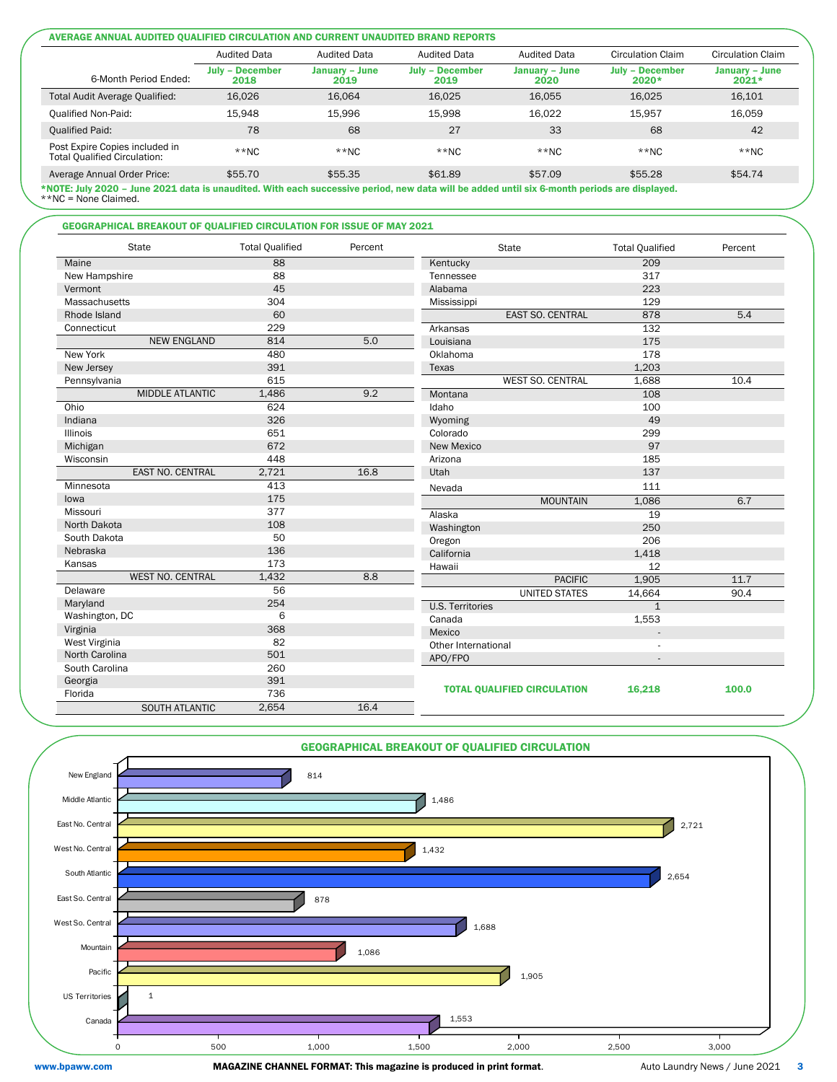#### AVERAGE ANNUAL AUDITED QUALIFIED CIRCULATION AND CURRENT UNAUDITED BRAND REPORTS

|                                                                       | <b>Audited Data</b>            | <b>Audited Data</b>    | <b>Audited Data</b>            | <b>Audited Data</b>    | <b>Circulation Claim</b>          | Circulation Claim         |
|-----------------------------------------------------------------------|--------------------------------|------------------------|--------------------------------|------------------------|-----------------------------------|---------------------------|
| 6-Month Period Ended:                                                 | <b>July - December</b><br>2018 | January – June<br>2019 | <b>July - December</b><br>2019 | January – June<br>2020 | <b>July - December</b><br>$2020*$ | January – June<br>$2021*$ |
| Total Audit Average Qualified:                                        | 16,026                         | 16.064                 | 16.025                         | 16.055                 | 16.025                            | 16,101                    |
| <b>Qualified Non-Paid:</b>                                            | 15.948                         | 15.996                 | 15.998                         | 16.022                 | 15.957                            | 16,059                    |
| <b>Qualified Paid:</b>                                                | 78                             | 68                     | 27                             | 33                     | 68                                | 42                        |
| Post Expire Copies included in<br><b>Total Qualified Circulation:</b> | $**NC$                         | $**NC$                 | $**NC$                         | $**NC$                 | $*$ NC                            | $**NC$                    |
| Average Annual Order Price:                                           | \$55.70                        | \$55.35                | \$61.89                        | \$57.09                | \$55.28                           | \$54.74                   |

\*NOTE: July 2020 – June 2021 data is unaudited. With each successive period, new data will be added until six 6-month periods are displayed. \*\*NC = None Claimed.

### GEOGRAPHICAL BREAKOUT OF QUALIFIED CIRCULATION FOR ISSUE OF MAY 2021

| <b>State</b>            | <b>Total Qualified</b> | Percent | <b>State</b>                       | <b>Total Qualified</b> | Percent |
|-------------------------|------------------------|---------|------------------------------------|------------------------|---------|
| Maine                   | 88                     |         | Kentucky                           | 209                    |         |
| New Hampshire           | 88                     |         | Tennessee                          | 317                    |         |
| Vermont                 | 45                     |         | Alabama                            | 223                    |         |
| Massachusetts           | 304                    |         | Mississippi                        | 129                    |         |
| Rhode Island            | 60                     |         | <b>EAST SO. CENTRAL</b>            | 878                    | 5.4     |
| Connecticut             | 229                    |         | Arkansas                           | 132                    |         |
| <b>NEW ENGLAND</b>      | 814                    | 5.0     | Louisiana                          | 175                    |         |
| New York                | 480                    |         | Oklahoma                           | 178                    |         |
| New Jersey              | 391                    |         | Texas                              | 1,203                  |         |
| Pennsylvania            | 615                    |         | <b>WEST SO. CENTRAL</b>            | 1,688                  | 10.4    |
| <b>MIDDLE ATLANTIC</b>  | 1,486                  | 9.2     | Montana                            | 108                    |         |
| Ohio                    | 624                    |         | Idaho                              | 100                    |         |
| Indiana                 | 326                    |         | Wyoming                            | 49                     |         |
| Illinois                | 651                    |         | Colorado                           | 299                    |         |
| Michigan                | 672                    |         | New Mexico                         | 97                     |         |
| Wisconsin               | 448                    |         | Arizona                            | 185                    |         |
| EAST NO. CENTRAL        | 2,721                  | 16.8    | Utah                               | 137                    |         |
| Minnesota               | 413                    |         | Nevada                             | 111                    |         |
| lowa                    | 175                    |         | <b>MOUNTAIN</b>                    | 1,086                  | 6.7     |
| Missouri                | 377                    |         | Alaska                             | 19                     |         |
| North Dakota            | 108                    |         | Washington                         | 250                    |         |
| South Dakota            | 50                     |         | Oregon                             | 206                    |         |
| Nebraska                | 136                    |         | California                         | 1,418                  |         |
| Kansas                  | 173                    |         | Hawaii                             | 12                     |         |
| <b>WEST NO. CENTRAL</b> | 1,432                  | 8.8     | <b>PACIFIC</b>                     | 1,905                  | 11.7    |
| Delaware                | 56                     |         | <b>UNITED STATES</b>               | 14,664                 | 90.4    |
| Maryland                | 254                    |         | <b>U.S. Territories</b>            | $\mathbf{1}$           |         |
| Washington, DC          | 6                      |         | Canada                             | 1,553                  |         |
| Virginia                | 368                    |         | Mexico                             |                        |         |
| West Virginia           | 82                     |         | Other International                |                        |         |
| North Carolina          | 501                    |         | APO/FPO                            |                        |         |
| South Carolina          | 260                    |         |                                    |                        |         |
| Georgia                 | 391                    |         |                                    |                        |         |
| Florida                 | 736                    |         | <b>TOTAL QUALIFIED CIRCULATION</b> | 16,218                 | 100.0   |
| <b>SOUTH ATLANTIC</b>   | 2,654                  | 16.4    |                                    |                        |         |



www.bpaww.com MAGAZINE CHANNEL FORMAT: This magazine is produced in print format. Auto Laundry News / June 2021 3